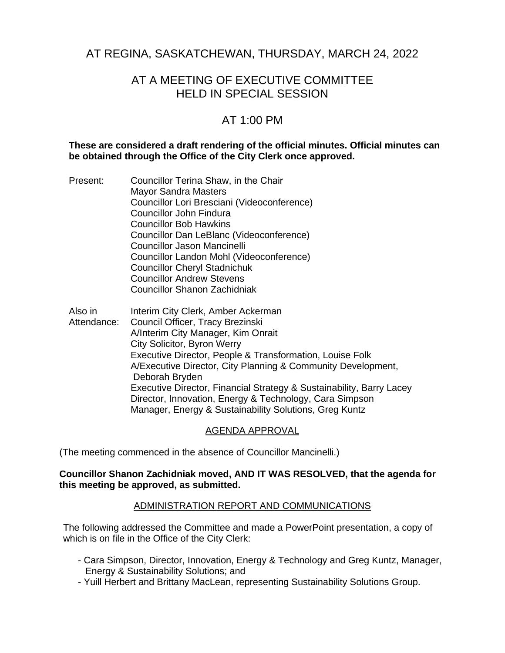# AT REGINA, SASKATCHEWAN, THURSDAY, MARCH 24, 2022

# AT A MEETING OF EXECUTIVE COMMITTEE HELD IN SPECIAL SESSION

# AT 1:00 PM

## **These are considered a draft rendering of the official minutes. Official minutes can be obtained through the Office of the City Clerk once approved.**

- Present: Councillor Terina Shaw, in the Chair Mayor Sandra Masters Councillor Lori Bresciani (Videoconference) Councillor John Findura Councillor Bob Hawkins Councillor Dan LeBlanc (Videoconference) Councillor Jason Mancinelli Councillor Landon Mohl (Videoconference) Councillor Cheryl Stadnichuk Councillor Andrew Stevens Councillor Shanon Zachidniak
- Also in Attendance: Interim City Clerk, Amber Ackerman Council Officer, Tracy Brezinski A/Interim City Manager, Kim Onrait City Solicitor, Byron Werry Executive Director, People & Transformation, Louise Folk A/Executive Director, City Planning & Community Development, Deborah Bryden Executive Director, Financial Strategy & Sustainability, Barry Lacey Director, Innovation, Energy & Technology, Cara Simpson Manager, Energy & Sustainability Solutions, Greg Kuntz

## AGENDA APPROVAL

(The meeting commenced in the absence of Councillor Mancinelli.)

### **Councillor Shanon Zachidniak moved, AND IT WAS RESOLVED, that the agenda for this meeting be approved, as submitted.**

## ADMINISTRATION REPORT AND COMMUNICATIONS

The following addressed the Committee and made a PowerPoint presentation, a copy of which is on file in the Office of the City Clerk:

- Cara Simpson, Director, Innovation, Energy & Technology and Greg Kuntz, Manager, Energy & Sustainability Solutions; and
- Yuill Herbert and Brittany MacLean, representing Sustainability Solutions Group.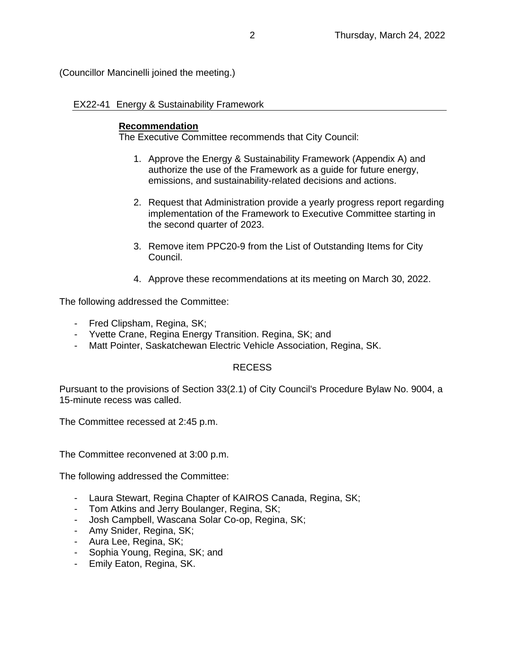(Councillor Mancinelli joined the meeting.)

EX22-41 Energy & Sustainability Framework

## **Recommendation**

The Executive Committee recommends that City Council:

- 1. Approve the Energy & Sustainability Framework (Appendix A) and authorize the use of the Framework as a guide for future energy, emissions, and sustainability-related decisions and actions.
- 2. Request that Administration provide a yearly progress report regarding implementation of the Framework to Executive Committee starting in the second quarter of 2023.
- 3. Remove item PPC20-9 from the List of Outstanding Items for City Council.
- 4. Approve these recommendations at its meeting on March 30, 2022.

The following addressed the Committee:

- Fred Clipsham, Regina, SK;
- Yvette Crane, Regina Energy Transition. Regina, SK; and
- Matt Pointer, Saskatchewan Electric Vehicle Association, Regina, SK.

# RECESS

Pursuant to the provisions of Section 33(2.1) of City Council's Procedure Bylaw No. 9004, a 15-minute recess was called.

The Committee recessed at 2:45 p.m.

The Committee reconvened at 3:00 p.m.

The following addressed the Committee:

- Laura Stewart, Regina Chapter of KAIROS Canada, Regina, SK;
- Tom Atkins and Jerry Boulanger, Regina, SK;
- Josh Campbell, Wascana Solar Co-op, Regina, SK;
- Amy Snider, Regina, SK;
- Aura Lee, Regina, SK;
- Sophia Young, Regina, SK; and
- Emily Eaton, Regina, SK.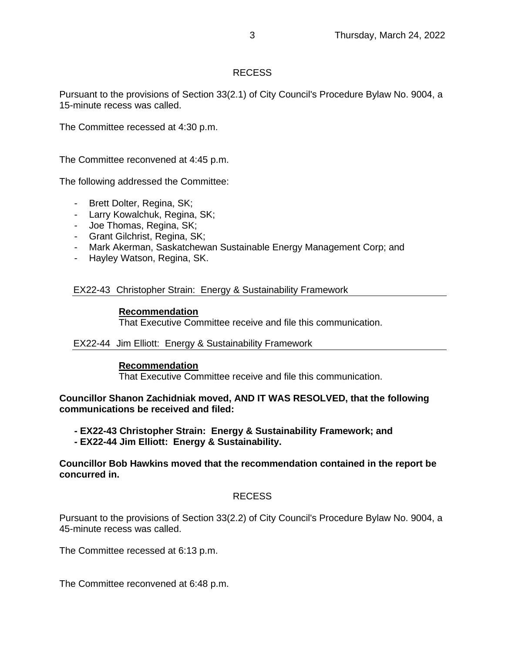# RECESS

Pursuant to the provisions of Section 33(2.1) of City Council's Procedure Bylaw No. 9004, a 15-minute recess was called.

The Committee recessed at 4:30 p.m.

The Committee reconvened at 4:45 p.m.

The following addressed the Committee:

- Brett Dolter, Regina, SK;
- Larry Kowalchuk, Regina, SK;
- Joe Thomas, Regina, SK;
- Grant Gilchrist, Regina, SK;
- Mark Akerman, Saskatchewan Sustainable Energy Management Corp; and
- Hayley Watson, Regina, SK.

### EX22-43 Christopher Strain: Energy & Sustainability Framework

### **Recommendation**

That Executive Committee receive and file this communication.

#### EX22-44 Jim Elliott: Energy & Sustainability Framework

#### **Recommendation**

That Executive Committee receive and file this communication.

**Councillor Shanon Zachidniak moved, AND IT WAS RESOLVED, that the following communications be received and filed:**

- **- EX22-43 Christopher Strain: Energy & Sustainability Framework; and**
- **- EX22-44 Jim Elliott: Energy & Sustainability.**

## **Councillor Bob Hawkins moved that the recommendation contained in the report be concurred in.**

## RECESS

Pursuant to the provisions of Section 33(2.2) of City Council's Procedure Bylaw No. 9004, a 45-minute recess was called.

The Committee recessed at 6:13 p.m.

The Committee reconvened at 6:48 p.m.